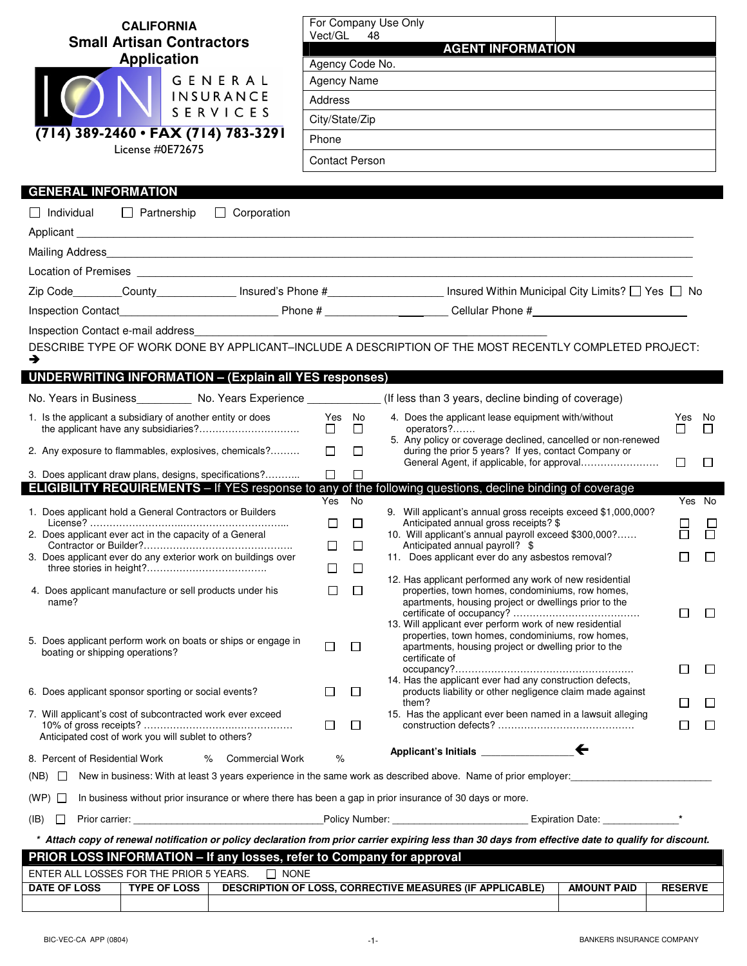| <b>CALIFORNIA</b><br><b>Small Artisan Contractors</b><br><b>Application</b><br>GENERAL<br><b>INSURANCE</b><br>SERVICES<br>(714) 389-2460 • FAX (714) 783-3291<br>License #0E72675<br><b>GENERAL INFORMATION</b><br>$\Box$ Individual $\Box$ Partnership<br>$\Box$ Corporation | Vect/GL 48<br>Agency Code No.<br>Agency Name<br><b>Address</b><br>City/State/Zip<br>Phone<br><b>Contact Person</b> |                       | For Company Use Only<br><b>AGENT INFORMATION</b><br>Zip Code________County______________ Insured's Phone #_____________________ Insured Within Municipal City Limits? $\Box$ Yes $\Box$ No                                                                                          |                              |                        |
|-------------------------------------------------------------------------------------------------------------------------------------------------------------------------------------------------------------------------------------------------------------------------------|--------------------------------------------------------------------------------------------------------------------|-----------------------|-------------------------------------------------------------------------------------------------------------------------------------------------------------------------------------------------------------------------------------------------------------------------------------|------------------------------|------------------------|
|                                                                                                                                                                                                                                                                               |                                                                                                                    |                       |                                                                                                                                                                                                                                                                                     |                              |                        |
| Inspection Contact e-mail address<br>→<br><b>UNDERWRITING INFORMATION - (Explain all YES responses)</b><br>No. Years in Business___________ No. Years Experience ______________(If less than 3 years, decline binding of coverage)                                            |                                                                                                                    |                       | DESCRIBE TYPE OF WORK DONE BY APPLICANT-INCLUDE A DESCRIPTION OF THE MOST RECENTLY COMPLETED PROJECT:                                                                                                                                                                               |                              |                        |
| 1. Is the applicant a subsidiary of another entity or does                                                                                                                                                                                                                    | Yes No                                                                                                             |                       | 4. Does the applicant lease equipment with/without                                                                                                                                                                                                                                  | Yes No                       |                        |
|                                                                                                                                                                                                                                                                               | $\Box$ $\Box$                                                                                                      |                       | operators?<br>5. Any policy or coverage declined, cancelled or non-renewed                                                                                                                                                                                                          | $\Box$                       | $\Box$                 |
| 2. Any exposure to flammables, explosives, chemicals?                                                                                                                                                                                                                         | $\Box$                                                                                                             | $\Box$                | during the prior 5 years? If yes, contact Company or                                                                                                                                                                                                                                | $\Box$                       | $\Box$                 |
| 3. Does applicant draw plans, designs, specifications?                                                                                                                                                                                                                        | $\Box$                                                                                                             | $\Box$                |                                                                                                                                                                                                                                                                                     |                              |                        |
| <b>ELIGIBILITY REQUIREMENTS</b> - If YES response to any of the following questions, decline binding of coverage                                                                                                                                                              | Yes No                                                                                                             |                       |                                                                                                                                                                                                                                                                                     |                              | Yes No                 |
| 1. Does applicant hold a General Contractors or Builders<br>2. Does applicant ever act in the capacity of a General<br>3. Does applicant ever do any exterior work on buildings over                                                                                          | □<br>$\Box$<br>□                                                                                                   | $\Box$<br>$\Box$<br>□ | 9. Will applicant's annual gross receipts exceed \$1,000,000?<br>Anticipated annual gross receipts? \$<br>10. Will applicant's annual payroll exceed \$300,000?<br>Anticipated annual payroll? \$<br>11. Does applicant ever do any asbestos removal?                               | $\Box$                       | $\Box$                 |
| 4. Does applicant manufacture or sell products under his<br>name?                                                                                                                                                                                                             | $\Box$                                                                                                             | □                     | 12. Has applicant performed any work of new residential<br>properties, town homes, condominiums, row homes,<br>apartments, housing project or dwellings prior to the<br>13. Will applicant ever perform work of new residential<br>properties, town homes, condominiums, row homes, | $\Box$                       | ⊔                      |
| 5. Does applicant perform work on boats or ships or engage in<br>boating or shipping operations?                                                                                                                                                                              | $\Box$                                                                                                             | $\Box$                | apartments, housing project or dwelling prior to the<br>certificate of<br>14. Has the applicant ever had any construction defects,                                                                                                                                                  | $\Box$                       | $\Box$                 |
| 6. Does applicant sponsor sporting or social events?                                                                                                                                                                                                                          | ப                                                                                                                  | $\Box$                | products liability or other negligence claim made against                                                                                                                                                                                                                           |                              |                        |
| 7. Will applicant's cost of subcontracted work ever exceed<br>Anticipated cost of work you will sublet to others?                                                                                                                                                             | $\Box$                                                                                                             | $\Box$                | them?<br>15. Has the applicant ever been named in a lawsuit alleging                                                                                                                                                                                                                | $\mathsf{L}$<br>$\mathbf{r}$ | $\mathbf{L}$<br>$\Box$ |
| 8. Percent of Residential Work<br>Commercial Work<br>℅                                                                                                                                                                                                                        | %                                                                                                                  |                       |                                                                                                                                                                                                                                                                                     |                              |                        |
| New in business: With at least 3 years experience in the same work as described above. Name of prior employer:<br>$(NB)$ $\Box$                                                                                                                                               |                                                                                                                    |                       |                                                                                                                                                                                                                                                                                     |                              |                        |
| In business without prior insurance or where there has been a gap in prior insurance of 30 days or more.<br>$(WP)$ $\Box$                                                                                                                                                     |                                                                                                                    |                       |                                                                                                                                                                                                                                                                                     |                              |                        |
| $(\mathsf{IB})$                                                                                                                                                                                                                                                               |                                                                                                                    |                       |                                                                                                                                                                                                                                                                                     |                              |                        |
|                                                                                                                                                                                                                                                                               |                                                                                                                    |                       | * Attach copy of renewal notification or policy declaration from prior carrier expiring less than 30 days from effective date to qualify for discount.                                                                                                                              |                              |                        |
| PRIOR LOSS INFORMATION - If any losses, refer to Company for approval                                                                                                                                                                                                         |                                                                                                                    |                       |                                                                                                                                                                                                                                                                                     |                              |                        |
| ENTER ALL LOSSES FOR THE PRIOR 5 YEARS.<br>$\Box$ NONE                                                                                                                                                                                                                        |                                                                                                                    |                       |                                                                                                                                                                                                                                                                                     |                              |                        |
| <b>DATE OF LOSS</b><br><b>TYPE OF LOSS</b>                                                                                                                                                                                                                                    |                                                                                                                    |                       | <b>DESCRIPTION OF LOSS, CORRECTIVE MEASURES (IF APPLICABLE)</b><br><b>AMOUNT PAID</b>                                                                                                                                                                                               | <b>RESERVE</b>               |                        |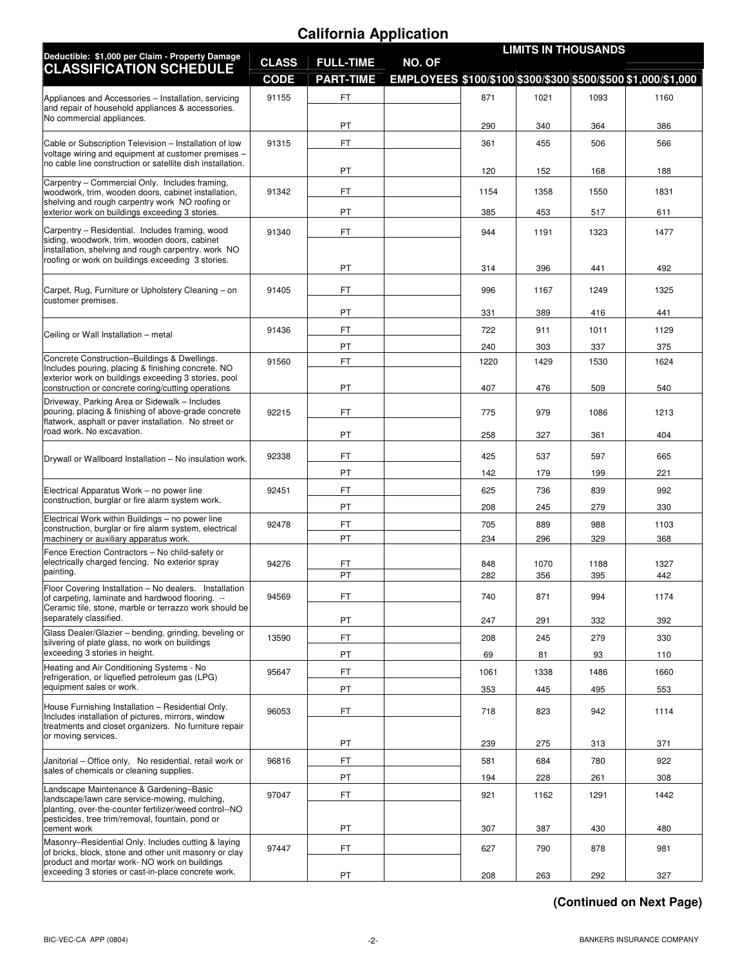# **California Application**

| 1093<br>364<br>506 | EMPLOYEES \$100/\$100 \$300/\$300 \$500/\$500 \$1,000/\$1,000<br>1160<br>386                                         |
|--------------------|----------------------------------------------------------------------------------------------------------------------|
|                    |                                                                                                                      |
|                    |                                                                                                                      |
|                    |                                                                                                                      |
|                    |                                                                                                                      |
|                    | 566                                                                                                                  |
| 168                | 188                                                                                                                  |
| 1550               | 1831                                                                                                                 |
| 517                | 611                                                                                                                  |
| 1323               | 1477                                                                                                                 |
| 441                | 492                                                                                                                  |
| 1249               | 1325                                                                                                                 |
| 416                | 441                                                                                                                  |
| 1011               | 1129                                                                                                                 |
| 337                | 375                                                                                                                  |
| 1530               | 1624                                                                                                                 |
|                    | 540                                                                                                                  |
| 1086               | 1213                                                                                                                 |
| 361                | 404                                                                                                                  |
| 597                | 665                                                                                                                  |
|                    | 221                                                                                                                  |
|                    | 992                                                                                                                  |
|                    | 330                                                                                                                  |
| 329                | 1103<br>368                                                                                                          |
| 1188               | 1327<br>442                                                                                                          |
| 994                | 1174                                                                                                                 |
|                    | 392                                                                                                                  |
|                    | 330                                                                                                                  |
|                    | 110                                                                                                                  |
|                    | 1660                                                                                                                 |
|                    |                                                                                                                      |
| 942                | 553<br>1114                                                                                                          |
|                    | 371                                                                                                                  |
|                    | 922                                                                                                                  |
|                    | 308                                                                                                                  |
|                    |                                                                                                                      |
|                    | 1442                                                                                                                 |
|                    | 480                                                                                                                  |
| 878                | 981<br>327                                                                                                           |
|                    | 509<br>199<br>839<br>279<br>988<br>395<br>332<br>279<br>93<br>1486<br>495<br>313<br>780<br>261<br>1291<br>430<br>292 |

## **(Continued on Next Page)**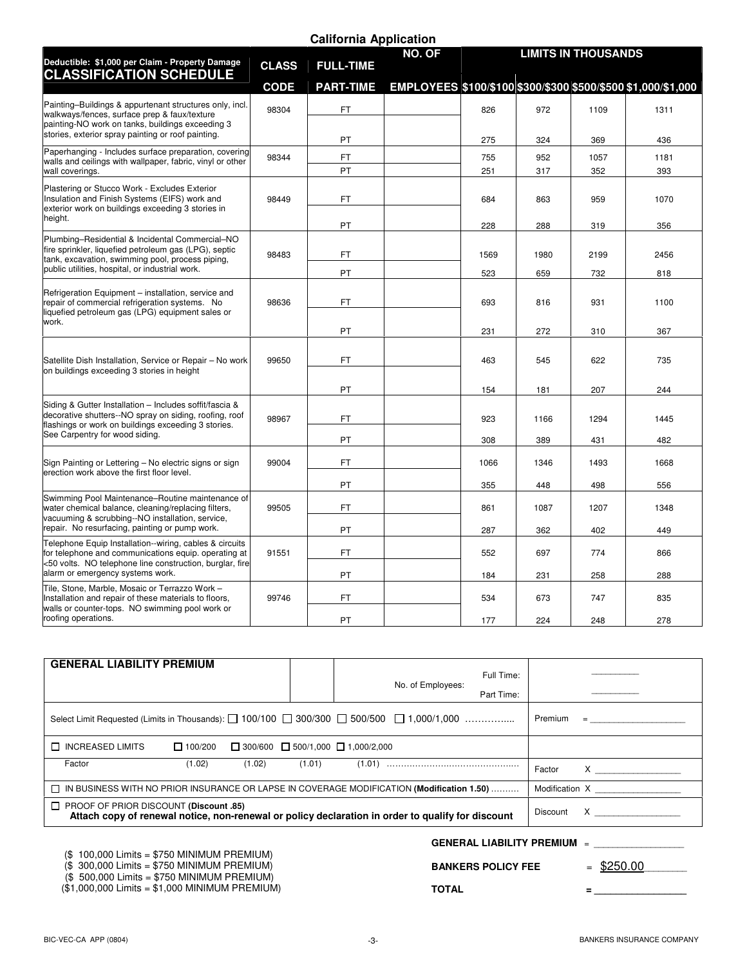|                                                                                                                                                                                                            |              | <b>California Application</b> |        |      |      |                            |                                                               |
|------------------------------------------------------------------------------------------------------------------------------------------------------------------------------------------------------------|--------------|-------------------------------|--------|------|------|----------------------------|---------------------------------------------------------------|
| Deductible: \$1,000 per Claim - Property Damage                                                                                                                                                            |              |                               | NO. OF |      |      | <b>LIMITS IN THOUSANDS</b> |                                                               |
| <b>CLASSIFICATION SCHEDULE</b>                                                                                                                                                                             | <b>CLASS</b> | <b>FULL-TIME</b>              |        |      |      |                            |                                                               |
|                                                                                                                                                                                                            | <b>CODE</b>  | <b>PART-TIME</b>              |        |      |      |                            | EMPLOYEES \$100/\$100 \$300/\$300 \$500/\$500 \$1,000/\$1,000 |
| Painting-Buildings & appurtenant structures only, incl.<br>walkways/fences, surface prep & faux/texture<br>painting-NO work on tanks, buildings exceeding 3                                                | 98304        | <b>FT</b>                     |        | 826  | 972  | 1109                       | 1311                                                          |
| stories, exterior spray painting or roof painting.                                                                                                                                                         |              | PT                            |        | 275  | 324  | 369                        | 436                                                           |
| Paperhanging - Includes surface preparation, covering<br>walls and ceilings with wallpaper, fabric, vinyl or other                                                                                         | 98344        | FT.                           |        | 755  | 952  | 1057                       | 1181                                                          |
| wall coverings.                                                                                                                                                                                            |              | PT                            |        | 251  | 317  | 352                        | 393                                                           |
| Plastering or Stucco Work - Excludes Exterior<br>Insulation and Finish Systems (EIFS) work and<br>exterior work on buildings exceeding 3 stories in                                                        | 98449        | FT.                           |        | 684  | 863  | 959                        | 1070                                                          |
| height.                                                                                                                                                                                                    |              | PT                            |        | 228  | 288  | 319                        | 356                                                           |
| Plumbing-Residential & Incidental Commercial-NO<br>fire sprinkler, liquefied petroleum gas (LPG), septic<br>tank, excavation, swimming pool, process piping,                                               | 98483        | FT.                           |        | 1569 | 1980 | 2199                       | 2456                                                          |
| public utilities, hospital, or industrial work.                                                                                                                                                            |              | PT                            |        | 523  | 659  | 732                        | 818                                                           |
| Refrigeration Equipment - installation, service and<br>repair of commercial refrigeration systems. No<br>liquefied petroleum gas (LPG) equipment sales or                                                  | 98636        | FT.                           |        | 693  | 816  | 931                        | 1100                                                          |
| work.                                                                                                                                                                                                      |              | PT                            |        | 231  | 272  | 310                        | 367                                                           |
| Satellite Dish Installation, Service or Repair - No work<br>on buildings exceeding 3 stories in height                                                                                                     | 99650        | FT.                           |        | 463  | 545  | 622                        | 735                                                           |
|                                                                                                                                                                                                            |              | PT                            |        | 154  | 181  | 207                        | 244                                                           |
| Siding & Gutter Installation - Includes soffit/fascia &<br>decorative shutters--NO spray on siding, roofing, roof<br>flashings or work on buildings exceeding 3 stories.<br>See Carpentry for wood siding. | 98967        | FT.                           |        | 923  | 1166 | 1294                       | 1445                                                          |
|                                                                                                                                                                                                            |              | PT                            |        | 308  | 389  | 431                        | 482                                                           |
| Sign Painting or Lettering - No electric signs or sign<br>erection work above the first floor level.                                                                                                       | 99004        | FT                            |        | 1066 | 1346 | 1493                       | 1668                                                          |
|                                                                                                                                                                                                            |              | PT                            |        | 355  | 448  | 498                        | 556                                                           |
| Swimming Pool Maintenance-Routine maintenance of<br>water chemical balance, cleaning/replacing filters,<br>vacuuming & scrubbing--NO installation, service,                                                | 99505        | FT                            |        | 861  | 1087 | 1207                       | 1348                                                          |
| repair. No resurfacing, painting or pump work.                                                                                                                                                             |              | PT                            |        | 287  | 362  | 402                        | 449                                                           |
| Telephone Equip Installation--wiring, cables & circuits<br>for telephone and communications equip. operating at<br><50 volts. NO telephone line construction, burglar, fire                                | 91551        | FT                            |        | 552  | 697  | 774                        | 866                                                           |
| alarm or emergency systems work.                                                                                                                                                                           |              | PT                            |        | 184  | 231  | 258                        | 288                                                           |
| Tile, Stone, Marble, Mosaic or Terrazzo Work -<br>Installation and repair of these materials to floors,<br>walls or counter-tops. NO swimming pool work or                                                 | 99746        | FT                            |        | 534  | 673  | 747                        | 835                                                           |
| roofing operations.                                                                                                                                                                                        |              | PT                            |        | 177  | 224  | 248                        | 278                                                           |

| <b>GENERAL LIABILITY PREMIUM</b>                                                                                                                   |                                                    |                   |            |                                                                                                                                                                                                                                                                                                                                                                                                                                             |
|----------------------------------------------------------------------------------------------------------------------------------------------------|----------------------------------------------------|-------------------|------------|---------------------------------------------------------------------------------------------------------------------------------------------------------------------------------------------------------------------------------------------------------------------------------------------------------------------------------------------------------------------------------------------------------------------------------------------|
|                                                                                                                                                    |                                                    |                   | Full Time: |                                                                                                                                                                                                                                                                                                                                                                                                                                             |
|                                                                                                                                                    |                                                    | No. of Employees: |            |                                                                                                                                                                                                                                                                                                                                                                                                                                             |
|                                                                                                                                                    |                                                    |                   | Part Time: |                                                                                                                                                                                                                                                                                                                                                                                                                                             |
| Select Limit Requested (Limits in Thousands): $\Box$ 100/100 $\Box$ 300/300 $\Box$ 500/500 $\Box$ 1,000/1,000                                      |                                                    |                   |            | Premium<br>$\begin{tabular}{lllllllllllll} \bf{0.3} & \bf{0.3} & \bf{0.3} & \bf{0.3} & \bf{0.3} & \bf{0.3} \\ \bf{0.3} & \bf{0.3} & \bf{0.3} & \bf{0.3} & \bf{0.3} & \bf{0.3} \\ \bf{0.3} & \bf{0.3} & \bf{0.3} & \bf{0.3} & \bf{0.3} & \bf{0.3} \\ \bf{0.3} & \bf{0.3} & \bf{0.3} & \bf{0.3} & \bf{0.3} & \bf{0.3} \\ \bf{0.3} & \bf{0.3$                                                                                                  |
| <b>THE INCREASED LIMITS</b><br>$\Box$ 100/200                                                                                                      | $\Box$ 300/600 $\Box$ 500/1,000 $\Box$ 1,000/2,000 |                   |            |                                                                                                                                                                                                                                                                                                                                                                                                                                             |
| Factor<br>(1.02)                                                                                                                                   | (1.02)<br>(1.01)                                   |                   |            | Factor<br>$\boldsymbol{\mathsf{X}}$ and $\boldsymbol{\mathsf{X}}$ and $\boldsymbol{\mathsf{X}}$ and $\boldsymbol{\mathsf{X}}$ are $\boldsymbol{\mathsf{X}}$ and $\boldsymbol{\mathsf{X}}$ and $\boldsymbol{\mathsf{X}}$ are $\boldsymbol{\mathsf{X}}$ and $\boldsymbol{\mathsf{X}}$ are $\boldsymbol{\mathsf{X}}$ and $\boldsymbol{\mathsf{X}}$ are $\boldsymbol{\mathsf{X}}$ and $\boldsymbol{\mathsf{X}}$ are $\boldsymbol{\mathsf{X}}$ a |
| □ IN BUSINESS WITH NO PRIOR INSURANCE OR LAPSE IN COVERAGE MODIFICATION (Modification 1.50)                                                        |                                                    |                   |            | Modification X and the Modification of the Model State of the Model State of the Model State of the Model State of the Model State of the Model State of the Model State of the Model State of the Model State of the Model St                                                                                                                                                                                                              |
| $\Box$ PROOF OF PRIOR DISCOUNT (Discount .85)<br>Attach copy of renewal notice, non-renewal or policy declaration in order to qualify for discount |                                                    |                   |            | $\mathsf X$ and $\mathsf X$ and $\mathsf X$ are $\mathsf X$ and $\mathsf X$ are $\mathsf X$ and $\mathsf X$ are $\mathsf X$ and $\mathsf X$ are $\mathsf X$ and $\mathsf X$ are $\mathsf X$ and $\mathsf X$ are $\mathsf X$ and $\mathsf X$ are $\mathsf X$ and $\mathsf X$ are $\mathsf X$ and $\mathsf X$ are $\mathsf X$ and<br>Discount                                                                                                 |
|                                                                                                                                                    |                                                    |                   |            | <b>GENERAL LIABILITY PREMIUM <math>=</math></b>                                                                                                                                                                                                                                                                                                                                                                                             |

(\$ 100,000 Limits = \$750 MINIMUM PREMIUM)

(\$ 300,000 Limits = \$750 MINIMUM PREMIUM)

(\$ 500,000 Limits = \$750 MINIMUM PREMIUM)

(\$1,000,000 Limits = \$1,000 MINIMUM PREMIUM)

**BANKERS POLICY FEE**  $=$  \$250.00

#### **TOTAL = \_\_\_\_\_\_\_\_\_\_\_\_\_\_\_\_\_**